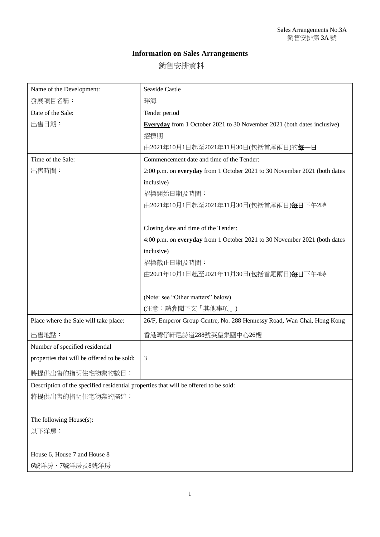## **Information on Sales Arrangements**

銷售安排資料

| Name of the Development:                                                             | <b>Seaside Castle</b>                                                          |
|--------------------------------------------------------------------------------------|--------------------------------------------------------------------------------|
| 發展項目名稱:                                                                              | 畔海                                                                             |
| Date of the Sale:                                                                    | Tender period                                                                  |
| 出售日期:                                                                                | <b>Everyday</b> from 1 October 2021 to 30 November 2021 (both dates inclusive) |
|                                                                                      | 招標期                                                                            |
|                                                                                      | 由2021年10月1日起至2021年11月30日(包括首尾兩日)的每一日                                           |
| Time of the Sale:                                                                    | Commencement date and time of the Tender:                                      |
| 出售時間:                                                                                | 2:00 p.m. on everyday from 1 October 2021 to 30 November 2021 (both dates      |
|                                                                                      | inclusive)                                                                     |
|                                                                                      | 招標開始日期及時間:                                                                     |
|                                                                                      | 由2021年10月1日起至2021年11月30日(包括首尾兩日)每日下午2時                                         |
|                                                                                      |                                                                                |
|                                                                                      | Closing date and time of the Tender:                                           |
|                                                                                      | 4:00 p.m. on everyday from 1 October 2021 to 30 November 2021 (both dates      |
|                                                                                      | inclusive)                                                                     |
|                                                                                      | 招標截止日期及時間:                                                                     |
|                                                                                      | 由2021年10月1日起至2021年11月30日(包括首尾兩日)每日下午4時                                         |
|                                                                                      |                                                                                |
|                                                                                      | (Note: see "Other matters" below)                                              |
|                                                                                      | (注意:請參閲下文「其他事項」)                                                               |
| Place where the Sale will take place:                                                | 26/F, Emperor Group Centre, No. 288 Hennessy Road, Wan Chai, Hong Kong         |
| 出售地點:                                                                                | 香港灣仔軒尼詩道288號英皇集團中心26樓                                                          |
| Number of specified residential                                                      |                                                                                |
| properties that will be offered to be sold:                                          | 3                                                                              |
| 將提供出售的指明住宅物業的數目:                                                                     |                                                                                |
| Description of the specified residential properties that will be offered to be sold: |                                                                                |
| 將提供出售的指明住宅物業的描述:                                                                     |                                                                                |
|                                                                                      |                                                                                |
| The following House(s):                                                              |                                                                                |
| 以下洋房:                                                                                |                                                                                |
|                                                                                      |                                                                                |
| House 6, House 7 and House 8                                                         |                                                                                |

6號洋房、7號洋房及8號洋房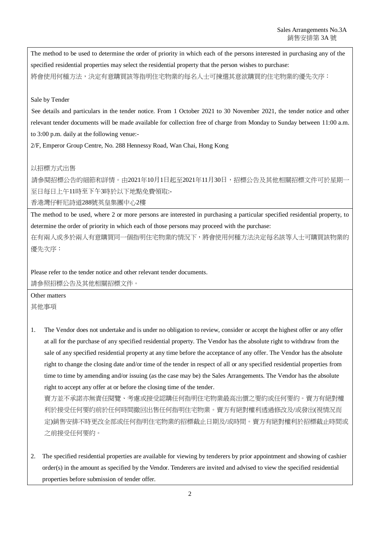The method to be used to determine the order of priority in which each of the persons interested in purchasing any of the specified residential properties may select the residential property that the person wishes to purchase: 將會使用何種方法,決定有意購買該等指明住宅物業的每名人士可揀選其意欲購買的住宅物業的優先次序:

## Sale by Tender

See details and particulars in the tender notice. From 1 October 2021 to 30 November 2021, the tender notice and other relevant tender documents will be made available for collection free of charge from Monday to Sunday between 11:00 a.m. to 3:00 p.m. daily at the following venue:-

2/F, Emperor Group Centre, No. 288 Hennessy Road, Wan Chai, Hong Kong

## 以招標方式出售

請參閱招標公告的細節和詳情。由2021年10月1日起至2021年11月30日,招標公告及其他相關招標文件可於星期一 至日每日上午11時至下午3時於以下地點免費領取:-

香港灣仔軒尼詩道288號英皇集團中心2樓

The method to be used, where 2 or more persons are interested in purchasing a particular specified residential property, to determine the order of priority in which each of those persons may proceed with the purchase:

在有兩人或多於兩人有意購買同一個指明住宅物業的情況下,將會使用何種方法決定每名該等人士可購買該物業的 優先次序:

Please refer to the tender notice and other relevant tender documents. 請參照招標公告及其他相關招標文件。

Other matters

其他事項

1. The Vendor does not undertake and is under no obligation to review, consider or accept the highest offer or any offer at all for the purchase of any specified residential property. The Vendor has the absolute right to withdraw from the sale of any specified residential property at any time before the acceptance of any offer. The Vendor has the absolute right to change the closing date and/or time of the tender in respect of all or any specified residential properties from time to time by amending and/or issuing (as the case may be) the Sales Arrangements. The Vendor has the absolute right to accept any offer at or before the closing time of the tender.

賣方並不承諾亦無責任閱覽、考慮或接受認購任何指明住宅物業最高出價之要約或任何要約。賣方有絕對權 利於接受任何要約前於任何時間撤回出售任何指明住宅物業。賣方有絕對權利透過修改及/或發出(視情況而 定)銷售安排不時更改全部或任何指明住宅物業的招標截止日期及/或時間。賣方有絕對權利於招標截止時間或 之前接受任何要約。

2. The specified residential properties are available for viewing by tenderers by prior appointment and showing of cashier order(s) in the amount as specified by the Vendor. Tenderers are invited and advised to view the specified residential properties before submission of tender offer.